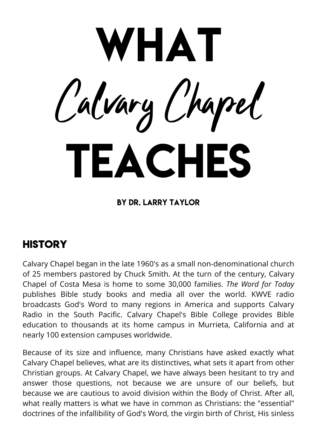WHAT Calvary Chapel TEACHES

#### By Dr. Larry Taylor

## **HISTORY**

Calvary Chapel began in the late 1960's as a small non-denominational church of 25 members pastored by Chuck Smith. At the turn of the century, Calvary Chapel of Costa Mesa is home to some 30,000 families. *The Word for Today* publishes Bible study books and media all over the world. KWVE radio broadcasts God's Word to many regions in America and supports Calvary Radio in the South Pacific. Calvary Chapel's Bible College provides Bible education to thousands at its home campus in Murrieta, California and at nearly 100 extension campuses worldwide.

Because of its size and influence, many Christians have asked exactly what Calvary Chapel believes, what are its distinctives, what sets it apart from other Christian groups. At Calvary Chapel, we have always been hesitant to try and answer those questions, not because we are unsure of our beliefs, but because we are cautious to avoid division within the Body of Christ. After all, what really matters is what we have in common as Christians: the "essential" doctrines of the infallibility of God's Word, the virgin birth of Christ, His sinless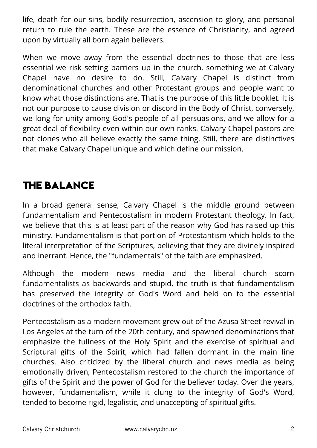life, death for our sins, bodily resurrection, ascension to glory, and personal return to rule the earth. These are the essence of Christianity, and agreed upon by virtually all born again believers.

When we move away from the essential doctrines to those that are less essential we risk setting barriers up in the church, something we at Calvary Chapel have no desire to do. Still, Calvary Chapel is distinct from denominational churches and other Protestant groups and people want to know what those distinctions are. That is the purpose of this little booklet. It is not our purpose to cause division or discord in the Body of Christ, conversely, we long for unity among God's people of all persuasions, and we allow for a great deal of flexibility even within our own ranks. Calvary Chapel pastors are not clones who all believe exactly the same thing. Still, there are distinctives that make Calvary Chapel unique and which define our mission.

# **THE BALANCE**

In a broad general sense, Calvary Chapel is the middle ground between fundamentalism and Pentecostalism in modern Protestant theology. In fact, we believe that this is at least part of the reason why God has raised up this ministry. Fundamentalism is that portion of Protestantism which holds to the literal interpretation of the Scriptures, believing that they are divinely inspired and inerrant. Hence, the "fundamentals" of the faith are emphasized.

Although the modem news media and the liberal church scorn fundamentalists as backwards and stupid, the truth is that fundamentalism has preserved the integrity of God's Word and held on to the essential doctrines of the orthodox faith.

Pentecostalism as a modern movement grew out of the Azusa Street revival in Los Angeles at the turn of the 20th century, and spawned denominations that emphasize the fullness of the Holy Spirit and the exercise of spiritual and Scriptural gifts of the Spirit, which had fallen dormant in the main line churches. Also criticized by the liberal church and news media as being emotionally driven, Pentecostalism restored to the church the importance of gifts of the Spirit and the power of God for the believer today. Over the years, however, fundamentalism, while it clung to the integrity of God's Word, tended to become rigid, legalistic, and unaccepting of spiritual gifts.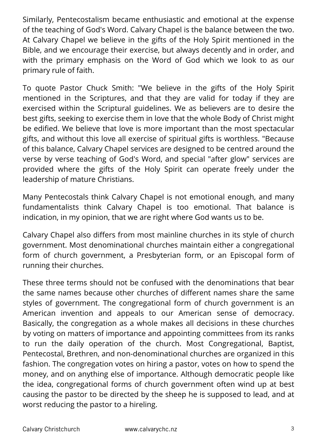Similarly, Pentecostalism became enthusiastic and emotional at the expense of the teaching of God's Word. Calvary Chapel is the balance between the two. At Calvary Chapel we believe in the gifts of the Holy Spirit mentioned in the Bible, and we encourage their exercise, but always decently and in order, and with the primary emphasis on the Word of God which we look to as our primary rule of faith.

To quote Pastor Chuck Smith: "We believe in the gifts of the Holy Spirit mentioned in the Scriptures, and that they are valid for today if they are exercised within the Scriptural guidelines. We as believers are to desire the best gifts, seeking to exercise them in love that the whole Body of Christ might be edified. We believe that love is more important than the most spectacular gifts, and without this love all exercise of spiritual gifts is worthless. "Because of this balance, Calvary Chapel services are designed to be centred around the verse by verse teaching of God's Word, and special "after glow" services are provided where the gifts of the Holy Spirit can operate freely under the leadership of mature Christians.

Many Pentecostals think Calvary Chapel is not emotional enough, and many fundamentalists think Calvary Chapel is too emotional. That balance is indication, in my opinion, that we are right where God wants us to be.

Calvary Chapel also differs from most mainline churches in its style of church government. Most denominational churches maintain either a congregational form of church government, a Presbyterian form, or an Episcopal form of running their churches.

These three terms should not be confused with the denominations that bear the same names because other churches of different names share the same styles of government. The congregational form of church government is an American invention and appeals to our American sense of democracy. Basically, the congregation as a whole makes all decisions in these churches by voting on matters of importance and appointing committees from its ranks to run the daily operation of the church. Most Congregational, Baptist, Pentecostal, Brethren, and non-denominational churches are organized in this fashion. The congregation votes on hiring a pastor, votes on how to spend the money, and on anything else of importance. Although democratic people like the idea, congregational forms of church government often wind up at best causing the pastor to be directed by the sheep he is supposed to lead, and at worst reducing the pastor to a hireling.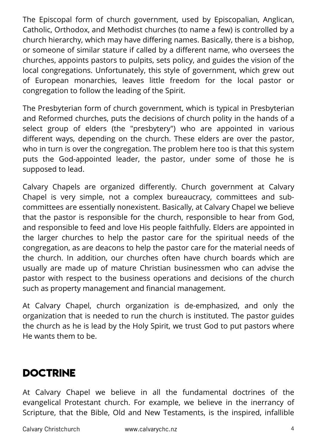The Episcopal form of church government, used by Episcopalian, Anglican, Catholic, Orthodox, and Methodist churches (to name a few) is controlled by a church hierarchy, which may have differing names. Basically, there is a bishop, or someone of similar stature if called by a different name, who oversees the churches, appoints pastors to pulpits, sets policy, and guides the vision of the local congregations. Unfortunately, this style of government, which grew out of European monarchies, leaves little freedom for the local pastor or congregation to follow the leading of the Spirit.

The Presbyterian form of church government, which is typical in Presbyterian and Reformed churches, puts the decisions of church polity in the hands of a select group of elders (the "presbytery") who are appointed in various different ways, depending on the church. These elders are over the pastor, who in turn is over the congregation. The problem here too is that this system puts the God-appointed leader, the pastor, under some of those he is supposed to lead.

Calvary Chapels are organized differently. Church government at Calvary Chapel is very simple, not a complex bureaucracy, committees and subcommittees are essentially nonexistent. Basically, at Calvary Chapel we believe that the pastor is responsible for the church, responsible to hear from God, and responsible to feed and love His people faithfully. Elders are appointed in the larger churches to help the pastor care for the spiritual needs of the congregation, as are deacons to help the pastor care for the material needs of the church. In addition, our churches often have church boards which are usually are made up of mature Christian businessmen who can advise the pastor with respect to the business operations and decisions of the church such as property management and financial management.

At Calvary Chapel, church organization is de-emphasized, and only the organization that is needed to run the church is instituted. The pastor guides the church as he is lead by the Holy Spirit, we trust God to put pastors where He wants them to be.

## **DOCTRINE**

At Calvary Chapel we believe in all the fundamental doctrines of the evangelical Protestant church. For example, we believe in the inerrancy of Scripture, that the Bible, Old and New Testaments, is the inspired, infallible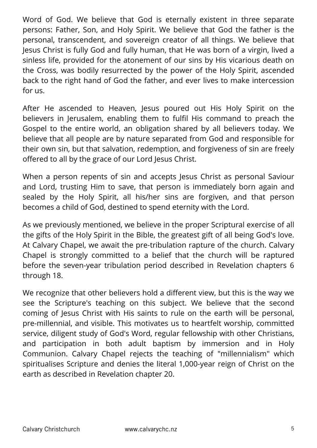Word of God. We believe that God is eternally existent in three separate persons: Father, Son, and Holy Spirit. We believe that God the father is the personal, transcendent, and sovereign creator of all things. We believe that Jesus Christ is fully God and fully human, that He was born of a virgin, lived a sinless life, provided for the atonement of our sins by His vicarious death on the Cross, was bodily resurrected by the power of the Holy Spirit, ascended back to the right hand of God the father, and ever lives to make intercession for us.

After He ascended to Heaven, Jesus poured out His Holy Spirit on the believers in Jerusalem, enabling them to fulfil His command to preach the Gospel to the entire world, an obligation shared by all believers today. We believe that all people are by nature separated from God and responsible for their own sin, but that salvation, redemption, and forgiveness of sin are freely offered to all by the grace of our Lord Jesus Christ.

When a person repents of sin and accepts Jesus Christ as personal Saviour and Lord, trusting Him to save, that person is immediately born again and sealed by the Holy Spirit, all his/her sins are forgiven, and that person becomes a child of God, destined to spend eternity with the Lord.

As we previously mentioned, we believe in the proper Scriptural exercise of all the gifts of the Holy Spirit in the Bible, the greatest gift of all being God's love. At Calvary Chapel, we await the pre-tribulation rapture of the church. Calvary Chapel is strongly committed to a belief that the church will be raptured before the seven-year tribulation period described in Revelation chapters 6 through 18.

We recognize that other believers hold a different view, but this is the way we see the Scripture's teaching on this subject. We believe that the second coming of Jesus Christ with His saints to rule on the earth will be personal, pre-millennial, and visible. This motivates us to heartfelt worship, committed service, diligent study of God's Word, regular fellowship with other Christians, and participation in both adult baptism by immersion and in Holy Communion. Calvary Chapel rejects the teaching of "millennialism" which spiritualises Scripture and denies the literal 1,000-year reign of Christ on the earth as described in Revelation chapter 20.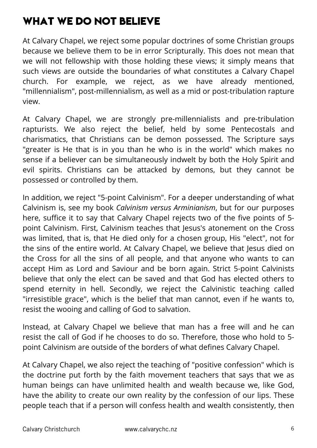# **WHAT WE DO NOT BELIEVE**

At Calvary Chapel, we reject some popular doctrines of some Christian groups because we believe them to be in error Scripturally. This does not mean that we will not fellowship with those holding these views; it simply means that such views are outside the boundaries of what constitutes a Calvary Chapel church. For example, we reject, as we have already mentioned, "millennialism", post-millennialism, as well as a mid or post-tribulation rapture view.

At Calvary Chapel, we are strongly pre-millennialists and pre-tribulation rapturists. We also reject the belief, held by some Pentecostals and charismatics, that Christians can be demon possessed. The Scripture says "greater is He that is in you than he who is in the world" which makes no sense if a believer can be simultaneously indwelt by both the Holy Spirit and evil spirits. Christians can be attacked by demons, but they cannot be possessed or controlled by them.

In addition, we reject "5-point Calvinism". For a deeper understanding of what Calvinism is, see my book *Calvinism versus Arminianism*, but for our purposes here, suffice it to say that Calvary Chapel rejects two of the five points of 5 point Calvinism. First, Calvinism teaches that Jesus's atonement on the Cross was limited, that is, that He died only for a chosen group, His "elect", not for the sins of the entire world. At Calvary Chapel, we believe that Jesus died on the Cross for all the sins of all people, and that anyone who wants to can accept Him as Lord and Saviour and be born again. Strict 5-point Calvinists believe that only the elect can be saved and that God has elected others to spend eternity in hell. Secondly, we reject the Calvinistic teaching called "irresistible grace", which is the belief that man cannot, even if he wants to, resist the wooing and calling of God to salvation.

Instead, at Calvary Chapel we believe that man has a free will and he can resist the call of God if he chooses to do so. Therefore, those who hold to 5 point Calvinism are outside of the borders of what defines Calvary Chapel.

At Calvary Chapel, we also reject the teaching of "positive confession" which is the doctrine put forth by the faith movement teachers that says that we as human beings can have unlimited health and wealth because we, like God, have the ability to create our own reality by the confession of our lips. These people teach that if a person will confess health and wealth consistently, then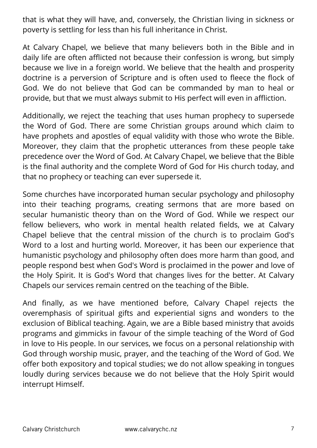that is what they will have, and, conversely, the Christian living in sickness or poverty is settling for less than his full inheritance in Christ.

At Calvary Chapel, we believe that many believers both in the Bible and in daily life are often afflicted not because their confession is wrong, but simply because we live in a foreign world. We believe that the health and prosperity doctrine is a perversion of Scripture and is often used to fleece the flock of God. We do not believe that God can be commanded by man to heal or provide, but that we must always submit to His perfect will even in affliction.

Additionally, we reject the teaching that uses human prophecy to supersede the Word of God. There are some Christian groups around which claim to have prophets and apostles of equal validity with those who wrote the Bible. Moreover, they claim that the prophetic utterances from these people take precedence over the Word of God. At Calvary Chapel, we believe that the Bible is the final authority and the complete Word of God for His church today, and that no prophecy or teaching can ever supersede it.

Some churches have incorporated human secular psychology and philosophy into their teaching programs, creating sermons that are more based on secular humanistic theory than on the Word of God. While we respect our fellow believers, who work in mental health related fields, we at Calvary Chapel believe that the central mission of the church is to proclaim God's Word to a lost and hurting world. Moreover, it has been our experience that humanistic psychology and philosophy often does more harm than good, and people respond best when God's Word is proclaimed in the power and love of the Holy Spirit. It is God's Word that changes lives for the better. At Calvary Chapels our services remain centred on the teaching of the Bible.

And finally, as we have mentioned before, Calvary Chapel rejects the overemphasis of spiritual gifts and experiential signs and wonders to the exclusion of Biblical teaching. Again, we are a Bible based ministry that avoids programs and gimmicks in favour of the simple teaching of the Word of God in love to His people. In our services, we focus on a personal relationship with God through worship music, prayer, and the teaching of the Word of God. We offer both expository and topical studies; we do not allow speaking in tongues loudly during services because we do not believe that the Holy Spirit would interrupt Himself.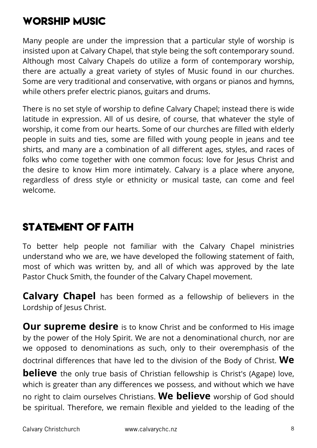## **WORSHIP Music**

Many people are under the impression that a particular style of worship is insisted upon at Calvary Chapel, that style being the soft contemporary sound. Although most Calvary Chapels do utilize a form of contemporary worship, there are actually a great variety of styles of Music found in our churches. Some are very traditional and conservative, with organs or pianos and hymns, while others prefer electric pianos, guitars and drums.

There is no set style of worship to define Calvary Chapel; instead there is wide latitude in expression. All of us desire, of course, that whatever the style of worship, it come from our hearts. Some of our churches are filled with elderly people in suits and ties, some are filled with young people in jeans and tee shirts, and many are a combination of all different ages, styles, and races of folks who come together with one common focus: love for Jesus Christ and the desire to know Him more intimately. Calvary is a place where anyone, regardless of dress style or ethnicity or musical taste, can come and feel welcome.

# **STATEMENT OF FAITH**

To better help people not familiar with the Calvary Chapel ministries understand who we are, we have developed the following statement of faith, most of which was written by, and all of which was approved by the late Pastor Chuck Smith, the founder of the Calvary Chapel movement.

**Calvary Chapel** has been formed as a fellowship of believers in the Lordship of Jesus Christ.

**Our supreme desire** is to know Christ and be conformed to His image by the power of the Holy Spirit. We are not a denominational church, nor are we opposed to denominations as such, only to their overemphasis of the doctrinal differences that have led to the division of the Body of Christ. **We believe** the only true basis of Christian fellowship is Christ's (Agape) love, which is greater than any differences we possess, and without which we have no right to claim ourselves Christians. **We believe** worship of God should be spiritual. Therefore, we remain flexible and yielded to the leading of the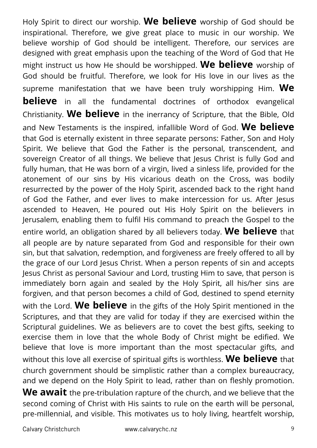Holy Spirit to direct our worship. **We believe** worship of God should be inspirational. Therefore, we give great place to music in our worship. We believe worship of God should be intelligent. Therefore, our services are designed with great emphasis upon the teaching of the Word of God that He might instruct us how He should be worshipped. **We believe** worship of God should be fruitful. Therefore, we look for His love in our lives as the supreme manifestation that we have been truly worshipping Him. **We believe** in all the fundamental doctrines of orthodox evangelical Christianity. **We believe** in the inerrancy of Scripture, that the Bible, Old and New Testaments is the inspired, infallible Word of God. **We believe** that God is eternally existent in three separate persons: Father, Son and Holy Spirit. We believe that God the Father is the personal, transcendent, and sovereign Creator of all things. We believe that Jesus Christ is fully God and fully human, that He was born of a virgin, lived a sinless life, provided for the atonement of our sins by His vicarious death on the Cross, was bodily resurrected by the power of the Holy Spirit, ascended back to the right hand of God the Father, and ever lives to make intercession for us. After Jesus ascended to Heaven, He poured out His Holy Spirit on the believers in Jerusalem, enabling them to fulfil His command to preach the Gospel to the entire world, an obligation shared by all believers today. **We believe** that all people are by nature separated from God and responsible for their own sin, but that salvation, redemption, and forgiveness are freely offered to all by the grace of our Lord Jesus Christ. When a person repents of sin and accepts Jesus Christ as personal Saviour and Lord, trusting Him to save, that person is immediately born again and sealed by the Holy Spirit, all his/her sins are forgiven, and that person becomes a child of God, destined to spend eternity with the Lord. **We believe** in the gifts of the Holy Spirit mentioned in the Scriptures, and that they are valid for today if they are exercised within the Scriptural guidelines. We as believers are to covet the best gifts, seeking to exercise them in love that the whole Body of Christ might be edified. We believe that love is more important than the most spectacular gifts, and without this love all exercise of spiritual gifts is worthless. **We believe** that church government should be simplistic rather than a complex bureaucracy, and we depend on the Holy Spirit to lead, rather than on fleshly promotion. **We await** the pre-tribulation rapture of the church, and we believe that the second coming of Christ with His saints to rule on the earth will be personal, pre-millennial, and visible. This motivates us to holy living, heartfelt worship,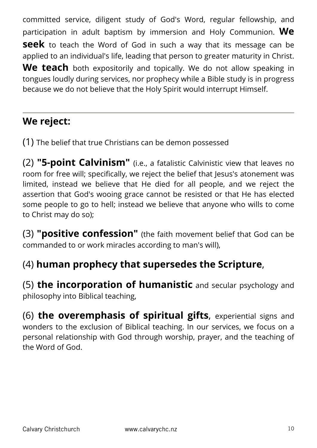committed service, diligent study of God's Word, regular fellowship, and participation in adult baptism by immersion and Holy Communion. **We seek** to teach the Word of God in such a way that its message can be applied to an individual's life, leading that person to greater maturity in Christ. **We teach** both expositorily and topically. We do not allow speaking in tongues loudly during services, nor prophecy while a Bible study is in progress because we do not believe that the Holy Spirit would interrupt Himself.

### **We reject:**

(1) The belief that true Christians can be demon possessed

(2) **"5-point Calvinism"** (i.e., a fatalistic Calvinistic view that leaves no room for free will; specifically, we reject the belief that Jesus's atonement was limited, instead we believe that He died for all people, and we reject the assertion that God's wooing grace cannot be resisted or that He has elected some people to go to hell; instead we believe that anyone who wills to come to Christ may do so);

(3) **"positive confession"** (the faith movement belief that God can be commanded to or work miracles according to man's will),

#### (4) **human prophecy that supersedes the Scripture**,

(5) **the incorporation of humanistic** and secular psychology and philosophy into Biblical teaching,

(6) **the overemphasis of spiritual gifts**, experiential signs and wonders to the exclusion of Biblical teaching. In our services, we focus on a personal relationship with God through worship, prayer, and the teaching of the Word of God.